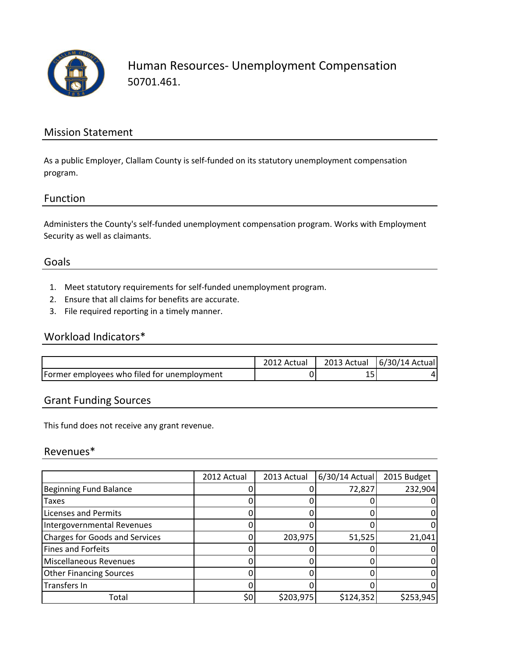

Human Resources- Unemployment Compensation 50701.461.

#### Mission Statement

As a public Employer, Clallam County is self-funded on its statutory unemployment compensation program.

## Function

Administers the County's self-funded unemployment compensation program. Works with Employment Security as well as claimants.

#### Goals

- 1. Meet statutory requirements for self-funded unemployment program.
- 2. Ensure that all claims for benefits are accurate.
- 3. File required reporting in a timely manner.

## Workload Indicators\*

|                                             | 2012 Actual | 2013 Actual | [6/30/14 Actual] |
|---------------------------------------------|-------------|-------------|------------------|
| Former employees who filed for unemployment |             | --          |                  |

# Grant Funding Sources

This fund does not receive any grant revenue.

#### Revenues\*

|                                       | 2012 Actual | 2013 Actual | $6/30/14$ Actual | 2015 Budget |
|---------------------------------------|-------------|-------------|------------------|-------------|
| <b>Beginning Fund Balance</b>         |             |             | 72,827           | 232,904     |
| <b>Taxes</b>                          |             |             |                  |             |
| <b>Licenses and Permits</b>           |             |             |                  |             |
| Intergovernmental Revenues            |             |             |                  |             |
| <b>Charges for Goods and Services</b> |             | 203,975     | 51,525           | 21,041      |
| Fines and Forfeits                    |             |             |                  |             |
| Miscellaneous Revenues                |             |             |                  |             |
| <b>Other Financing Sources</b>        |             |             |                  |             |
| Transfers In                          |             |             |                  |             |
| Total                                 | \$0         | \$203,975   | \$124,352        | \$253,945   |